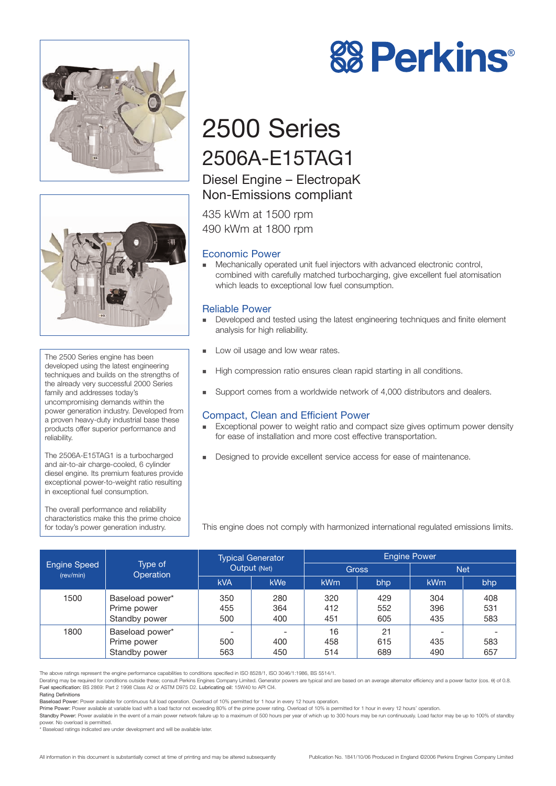



The 2500 Series engine has been developed using the latest engineering techniques and builds on the strengths of the already very successful 2000 Series family and addresses today's uncompromising demands within the power generation industry. Developed from a proven heavy-duty industrial base these products offer superior performance and reliability.

The 2506A-E15TAG1 is a turbocharged and air-to-air charge-cooled, 6 cylinder diesel engine. Its premium features provide exceptional power-to-weight ratio resulting in exceptional fuel consumption.

The overall performance and reliability characteristics make this the prime choice for today's power generation industry.

# 2500 Series 2506A-E15TAG1

## Diesel Engine – ElectropaK Non-Emissions compliant

435 kWm at 1500 rpm 490 kWm at 1800 rpm

## Economic Power

! Mechanically operated unit fuel injectors with advanced electronic control, combined with carefully matched turbocharging, give excellent fuel atomisation which leads to exceptional low fuel consumption.

**88 Perkins®** 

### Reliable Power

- Developed and tested using the latest engineering techniques and finite element analysis for high reliability.
- Low oil usage and low wear rates.
- High compression ratio ensures clean rapid starting in all conditions.
- ! Support comes from a worldwide network of 4,000 distributors and dealers.

## Compact, Clean and Efficient Power

- Exceptional power to weight ratio and compact size gives optimum power density for ease of installation and more cost effective transportation.
- **EXECUTE:** Designed to provide excellent service access for ease of maintenance.

This engine does not comply with harmonized international regulated emissions limits.

| <b>Engine Speed</b><br>(rev/min) | Type of<br>Operation                            | <b>Typical Generator</b><br>Output (Net) |                                        | <b>Engine Power</b> |                   |                   |                   |
|----------------------------------|-------------------------------------------------|------------------------------------------|----------------------------------------|---------------------|-------------------|-------------------|-------------------|
|                                  |                                                 |                                          |                                        | <b>Gross</b>        |                   | <b>Net</b>        |                   |
|                                  |                                                 | <b>kVA</b>                               | <b>kWe</b>                             | <b>kWm</b>          | bhp               | <b>kWm</b>        | bhp               |
| 1500                             | Baseload power*<br>Prime power<br>Standby power | 350<br>455<br>500                        | 280<br>364<br>400                      | 320<br>412<br>451   | 429<br>552<br>605 | 304<br>396<br>435 | 408<br>531<br>583 |
| 1800                             | Baseload power*<br>Prime power<br>Standby power | 500<br>563                               | $\overline{\phantom{a}}$<br>400<br>450 | 16<br>458<br>514    | 21<br>615<br>689  | 435<br>490        | 583<br>657        |

The above ratings represent the engine performance capabilities to conditions specified in ISO 8528/1, ISO 3046/1:1986, BS 5514/1.

Derating may be required for conditions outside these; consult Perkins Engines Company Limited. Generator powers are typical and are based on an average alternator efficiency and a power factor (cos. 6) of 0.8.<br>Fuel specif

Rating Definitions Baseload Power: Power available for continuous full load operation. Overload of 10% permitted for 1 hour in every 12 hours operation.

Prime Power: Power available at variable load with a load factor not exceeding 80% of the prime power rating. Overload of 10% is permitted for 1 hour in every 12 hours' operation.

Standby Power: Power available in the event of a main power network failure up to a maximum of 500 hours per year of which up to 300 hours may be run continuously. Load factor may be up to 100% of standby power. No overload is permitted.

Baseload ratings indicated are under development and will be available later